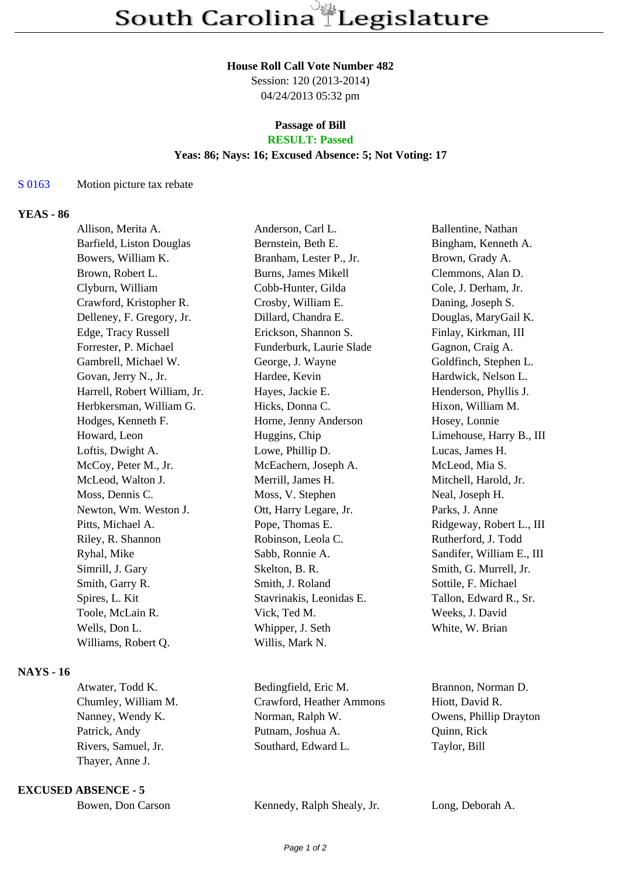#### **House Roll Call Vote Number 482**

Session: 120 (2013-2014) 04/24/2013 05:32 pm

# **Passage of Bill**

# **RESULT: Passed**

## **Yeas: 86; Nays: 16; Excused Absence: 5; Not Voting: 17**

#### S 0163 Motion picture tax rebate

# **YEAS - 86**

| Allison, Merita A.           | Anderson, Carl L.        | Ballentine, Nathan        |
|------------------------------|--------------------------|---------------------------|
| Barfield, Liston Douglas     | Bernstein, Beth E.       | Bingham, Kenneth A.       |
| Bowers, William K.           | Branham, Lester P., Jr.  | Brown, Grady A.           |
| Brown, Robert L.             | Burns, James Mikell      | Clemmons, Alan D.         |
| Clyburn, William             | Cobb-Hunter, Gilda       | Cole, J. Derham, Jr.      |
| Crawford, Kristopher R.      | Crosby, William E.       | Daning, Joseph S.         |
| Delleney, F. Gregory, Jr.    | Dillard, Chandra E.      | Douglas, MaryGail K.      |
| Edge, Tracy Russell          | Erickson, Shannon S.     | Finlay, Kirkman, III      |
| Forrester, P. Michael        | Funderburk, Laurie Slade | Gagnon, Craig A.          |
| Gambrell, Michael W.         | George, J. Wayne         | Goldfinch, Stephen L.     |
| Govan, Jerry N., Jr.         | Hardee, Kevin            | Hardwick, Nelson L.       |
| Harrell, Robert William, Jr. | Hayes, Jackie E.         | Henderson, Phyllis J.     |
| Herbkersman, William G.      | Hicks, Donna C.          | Hixon, William M.         |
| Hodges, Kenneth F.           | Horne, Jenny Anderson    | Hosey, Lonnie             |
| Howard, Leon                 | Huggins, Chip            | Limehouse, Harry B., III  |
| Loftis, Dwight A.            | Lowe, Phillip D.         | Lucas, James H.           |
| McCoy, Peter M., Jr.         | McEachern, Joseph A.     | McLeod, Mia S.            |
| McLeod, Walton J.            | Merrill, James H.        | Mitchell, Harold, Jr.     |
| Moss, Dennis C.              | Moss, V. Stephen         | Neal, Joseph H.           |
| Newton, Wm. Weston J.        | Ott, Harry Legare, Jr.   | Parks, J. Anne            |
| Pitts, Michael A.            | Pope, Thomas E.          | Ridgeway, Robert L., III  |
| Riley, R. Shannon            | Robinson, Leola C.       | Rutherford, J. Todd       |
| Ryhal, Mike                  | Sabb, Ronnie A.          | Sandifer, William E., III |
| Simrill, J. Gary             | Skelton, B. R.           | Smith, G. Murrell, Jr.    |
| Smith, Garry R.              | Smith, J. Roland         | Sottile, F. Michael       |
| Spires, L. Kit               | Stavrinakis, Leonidas E. | Tallon, Edward R., Sr.    |
| Toole, McLain R.             | Vick, Ted M.             | Weeks, J. David           |
| Wells, Don L.                | Whipper, J. Seth         | White, W. Brian           |
| Williams, Robert Q.          | Willis, Mark N.          |                           |
|                              |                          |                           |
|                              |                          |                           |

### **NAYS - 16**

Thayer, Anne J.

**EXCUSED ABSENCE - 5**

| Bowen, Don Carson |  |  |
|-------------------|--|--|
|-------------------|--|--|

Atwater, Todd K. Bedingfield, Eric M. Brannon, Norman D. Chumley, William M. Crawford, Heather Ammons Hiott, David R. Nanney, Wendy K. Norman, Ralph W. Owens, Phillip Drayton Patrick, Andy Putnam, Joshua A. Quinn, Rick Rivers, Samuel, Jr. Southard, Edward L. Taylor, Bill

Kennedy, Ralph Shealy, Jr. Long, Deborah A.